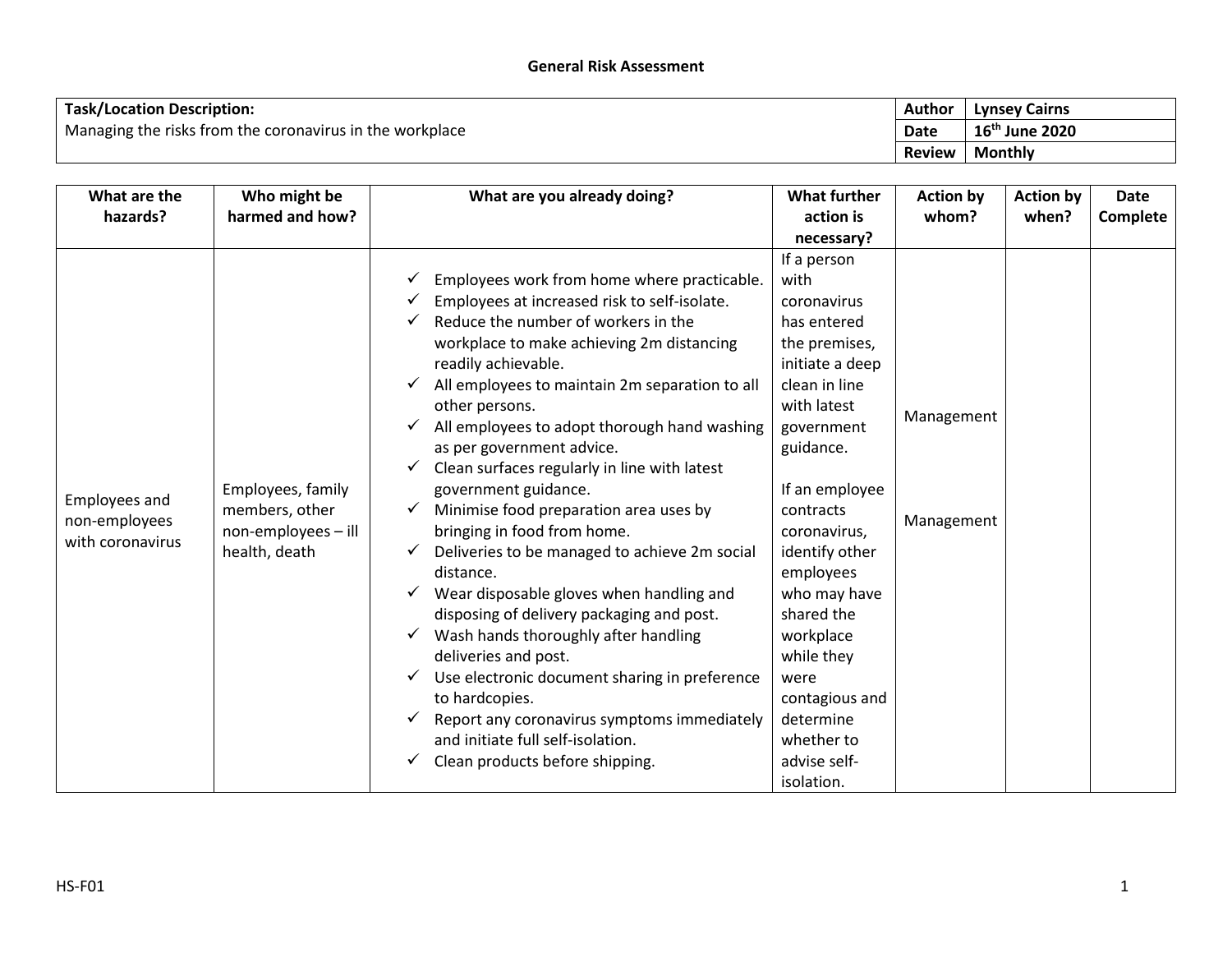| <b>Task/Location Description:</b>                        |               | <b>Lynsey Cairns</b> |
|----------------------------------------------------------|---------------|----------------------|
| Managing the risks from the coronavirus in the workplace | <b>Date</b>   | $16^{th}$ June 2020  |
|                                                          | <b>Review</b> | Monthly              |

| What are the<br>hazards?                                  | Who might be<br>harmed and how?                                             | What are you already doing?                                                                                                                                                                                                                                                                                                                                                                                                                                                                                                                                                                                                                                                                                                                                                                                                                                                                                                                   | <b>What further</b><br>action is                                                                                                                                                                                                                                                                                                                                           | <b>Action by</b><br>whom? | <b>Action by</b><br>when? | <b>Date</b><br>Complete |
|-----------------------------------------------------------|-----------------------------------------------------------------------------|-----------------------------------------------------------------------------------------------------------------------------------------------------------------------------------------------------------------------------------------------------------------------------------------------------------------------------------------------------------------------------------------------------------------------------------------------------------------------------------------------------------------------------------------------------------------------------------------------------------------------------------------------------------------------------------------------------------------------------------------------------------------------------------------------------------------------------------------------------------------------------------------------------------------------------------------------|----------------------------------------------------------------------------------------------------------------------------------------------------------------------------------------------------------------------------------------------------------------------------------------------------------------------------------------------------------------------------|---------------------------|---------------------------|-------------------------|
|                                                           |                                                                             |                                                                                                                                                                                                                                                                                                                                                                                                                                                                                                                                                                                                                                                                                                                                                                                                                                                                                                                                               | necessary?                                                                                                                                                                                                                                                                                                                                                                 |                           |                           |                         |
| <b>Employees and</b><br>non-employees<br>with coronavirus | Employees, family<br>members, other<br>non-employees - ill<br>health, death | Employees work from home where practicable.<br>Employees at increased risk to self-isolate.<br>Reduce the number of workers in the<br>workplace to make achieving 2m distancing<br>readily achievable.<br>All employees to maintain 2m separation to all<br>✓<br>other persons.<br>All employees to adopt thorough hand washing<br>as per government advice.<br>Clean surfaces regularly in line with latest<br>government guidance.<br>Minimise food preparation area uses by<br>bringing in food from home.<br>Deliveries to be managed to achieve 2m social<br>distance.<br>Wear disposable gloves when handling and<br>✓<br>disposing of delivery packaging and post.<br>Wash hands thoroughly after handling<br>deliveries and post.<br>Use electronic document sharing in preference<br>✓<br>to hardcopies.<br>Report any coronavirus symptoms immediately<br>✓<br>and initiate full self-isolation.<br>Clean products before shipping. | If a person<br>with<br>coronavirus<br>has entered<br>the premises,<br>initiate a deep<br>clean in line<br>with latest<br>government<br>guidance.<br>If an employee<br>contracts<br>coronavirus,<br>identify other<br>employees<br>who may have<br>shared the<br>workplace<br>while they<br>were<br>contagious and<br>determine<br>whether to<br>advise self-<br>isolation. | Management<br>Management  |                           |                         |